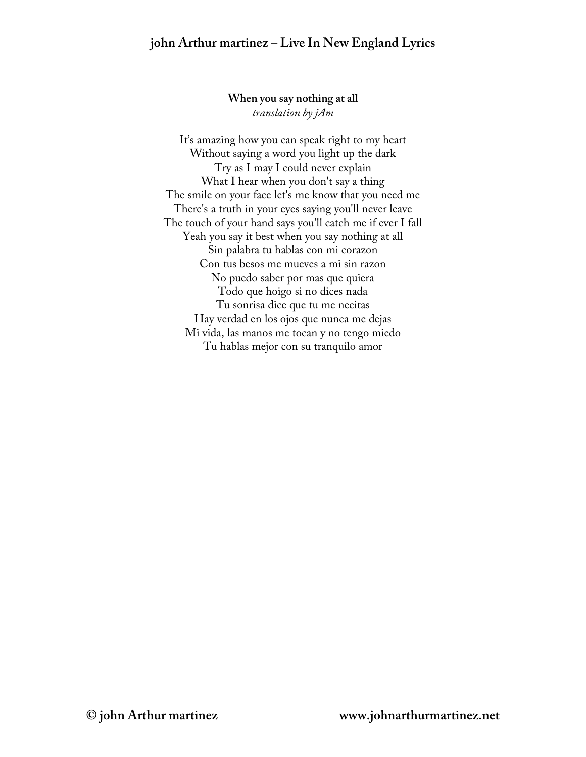**When you say nothing at all** *translation by jAm*

It's amazing how you can speak right to my heart Without saying a word you light up the dark Try as I may I could never explain What I hear when you don't say a thing The smile on your face let's me know that you need me There's a truth in your eyes saying you'll never leave The touch of your hand says you'll catch me if ever I fall Yeah you say it best when you say nothing at all Sin palabra tu hablas con mi corazon Con tus besos me mueves a mi sin razon No puedo saber por mas que quiera Todo que hoigo si no dices nada Tu sonrisa dice que tu me necitas Hay verdad en los ojos que nunca me dejas Mi vida, las manos me tocan y no tengo miedo Tu hablas mejor con su tranquilo amor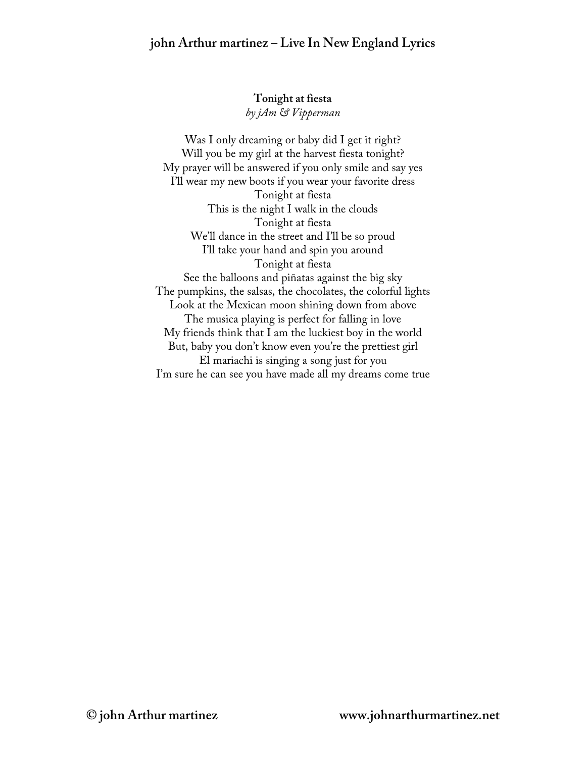#### **Tonight at fiesta**

*by jAm & Vipperman*

Was I only dreaming or baby did I get it right? Will you be my girl at the harvest fiesta tonight? My prayer will be answered if you only smile and say yes I'll wear my new boots if you wear your favorite dress Tonight at fiesta This is the night I walk in the clouds Tonight at fiesta We'll dance in the street and I'll be so proud I'll take your hand and spin you around Tonight at fiesta See the balloons and piñatas against the big sky The pumpkins, the salsas, the chocolates, the colorful lights Look at the Mexican moon shining down from above The musica playing is perfect for falling in love My friends think that I am the luckiest boy in the world But, baby you don't know even you're the prettiest girl El mariachi is singing a song just for you I'm sure he can see you have made all my dreams come true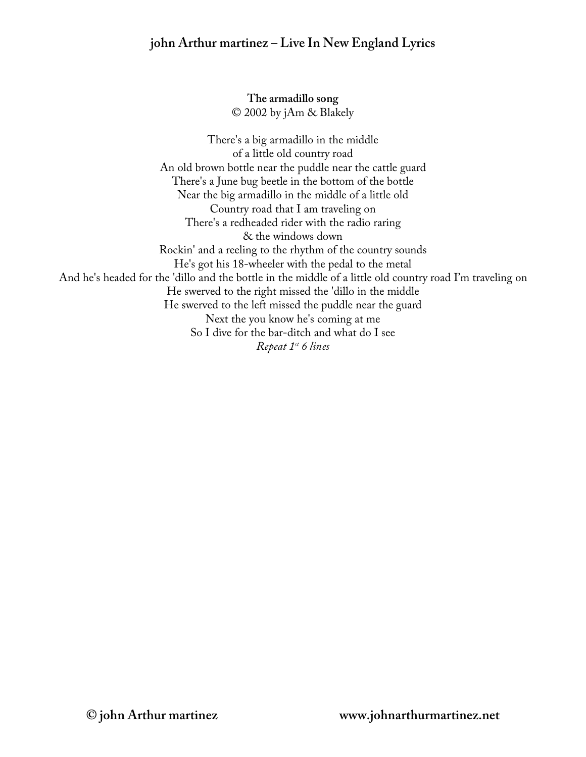**The armadillo song**  © 2002 by jAm & Blakely

There's a big armadillo in the middle of a little old country road An old brown bottle near the puddle near the cattle guard There's a June bug beetle in the bottom of the bottle Near the big armadillo in the middle of a little old Country road that I am traveling on There's a redheaded rider with the radio raring & the windows down Rockin' and a reeling to the rhythm of the country sounds He's got his 18-wheeler with the pedal to the metal And he's headed for the 'dillo and the bottle in the middle of a little old country road I'm traveling on He swerved to the right missed the 'dillo in the middle He swerved to the left missed the puddle near the guard Next the you know he's coming at me So I dive for the bar-ditch and what do I see *Repeat 1st 6 lines*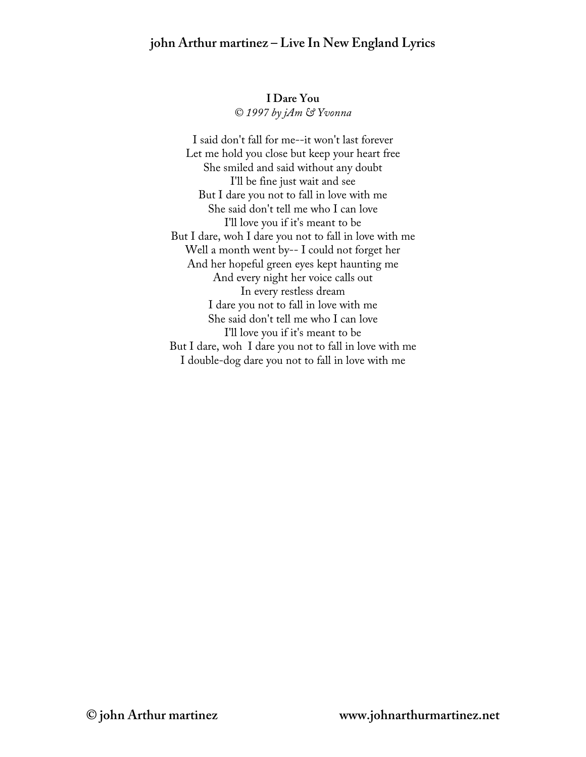**I Dare You** *© 1997 by jAm & Yvonna*

I said don't fall for me--it won't last forever Let me hold you close but keep your heart free She smiled and said without any doubt I'll be fine just wait and see But I dare you not to fall in love with me She said don't tell me who I can love I'll love you if it's meant to be But I dare, woh I dare you not to fall in love with me Well a month went by-- I could not forget her And her hopeful green eyes kept haunting me And every night her voice calls out In every restless dream I dare you not to fall in love with me She said don't tell me who I can love I'll love you if it's meant to be But I dare, woh I dare you not to fall in love with me I double-dog dare you not to fall in love with me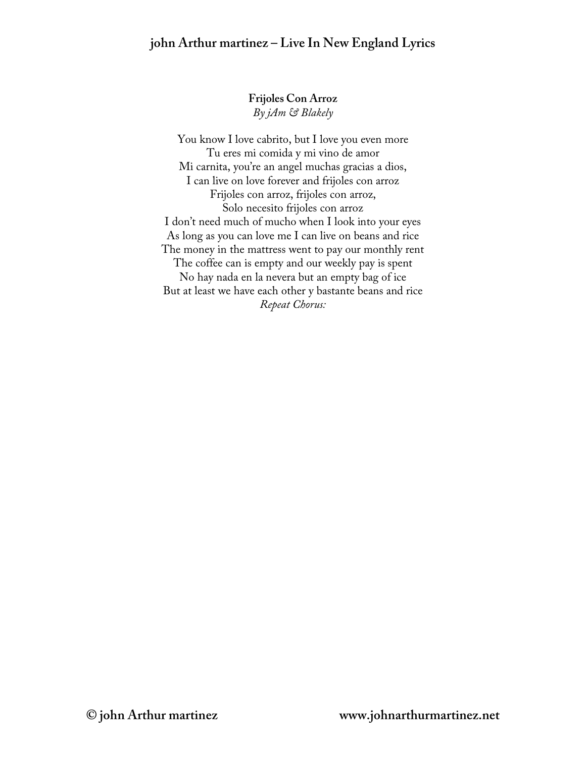**Frijoles Con Arroz** *By jAm & Blakely*

You know I love cabrito, but I love you even more Tu eres mi comida y mi vino de amor Mi carnita, you're an angel muchas gracias a dios, I can live on love forever and frijoles con arroz Frijoles con arroz, frijoles con arroz, Solo necesito frijoles con arroz I don't need much of mucho when I look into your eyes As long as you can love me I can live on beans and rice The money in the mattress went to pay our monthly rent The coffee can is empty and our weekly pay is spent No hay nada en la nevera but an empty bag of ice But at least we have each other y bastante beans and rice *Repeat Chorus:*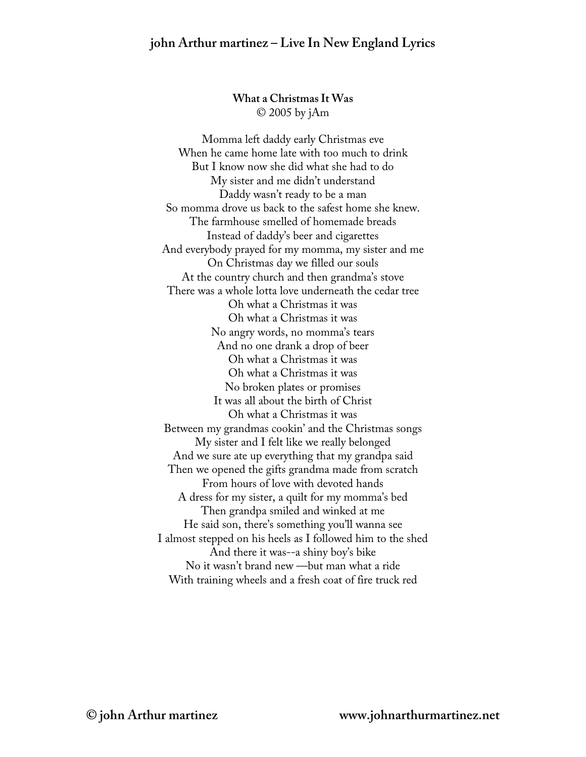#### **What a Christmas It Was** © 2005 by jAm

Momma left daddy early Christmas eve When he came home late with too much to drink But I know now she did what she had to do My sister and me didn't understand Daddy wasn't ready to be a man So momma drove us back to the safest home she knew. The farmhouse smelled of homemade breads Instead of daddy's beer and cigarettes And everybody prayed for my momma, my sister and me On Christmas day we filled our souls At the country church and then grandma's stove There was a whole lotta love underneath the cedar tree Oh what a Christmas it was Oh what a Christmas it was No angry words, no momma's tears And no one drank a drop of beer Oh what a Christmas it was Oh what a Christmas it was No broken plates or promises It was all about the birth of Christ Oh what a Christmas it was Between my grandmas cookin' and the Christmas songs My sister and I felt like we really belonged And we sure ate up everything that my grandpa said Then we opened the gifts grandma made from scratch From hours of love with devoted hands A dress for my sister, a quilt for my momma's bed Then grandpa smiled and winked at me He said son, there's something you'll wanna see I almost stepped on his heels as I followed him to the shed And there it was--a shiny boy's bike No it wasn't brand new —but man what a ride With training wheels and a fresh coat of fire truck red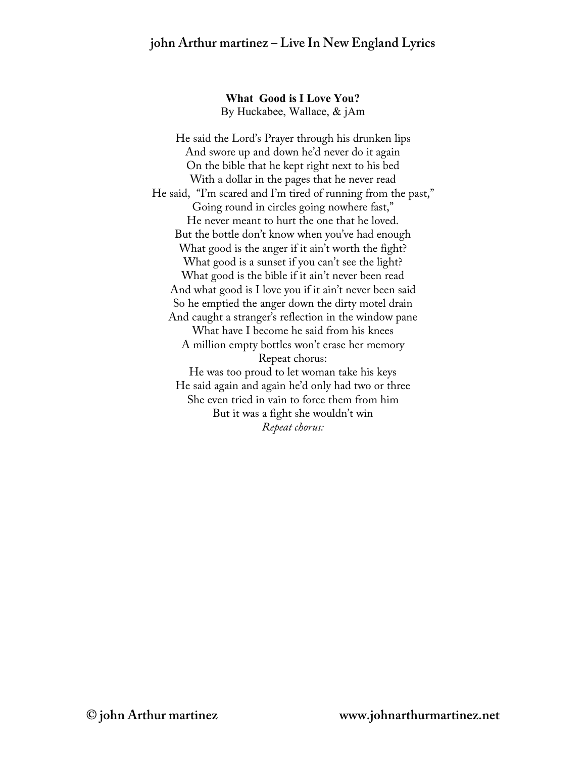**What Good is I Love You?** By Huckabee, Wallace, & jAm

He said the Lord's Prayer through his drunken lips And swore up and down he'd never do it again On the bible that he kept right next to his bed With a dollar in the pages that he never read He said, "I'm scared and I'm tired of running from the past," Going round in circles going nowhere fast," He never meant to hurt the one that he loved. But the bottle don't know when you've had enough What good is the anger if it ain't worth the fight? What good is a sunset if you can't see the light? What good is the bible if it ain't never been read And what good is I love you if it ain't never been said So he emptied the anger down the dirty motel drain And caught a stranger's reflection in the window pane What have I become he said from his knees A million empty bottles won't erase her memory Repeat chorus: He was too proud to let woman take his keys He said again and again he'd only had two or three She even tried in vain to force them from him But it was a fight she wouldn't win *Repeat chorus:*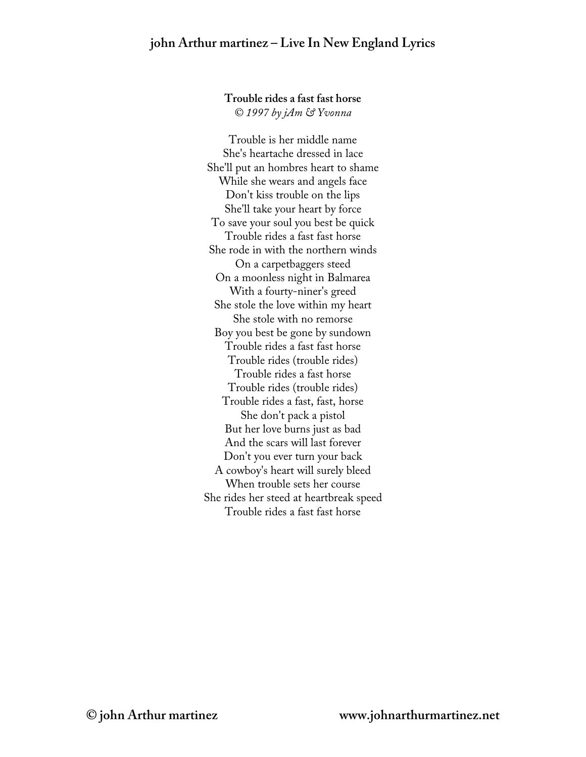**Trouble rides a fast fast horse** *© 1997 by jAm & Yvonna*

Trouble is her middle name She's heartache dressed in lace She'll put an hombres heart to shame While she wears and angels face Don't kiss trouble on the lips She'll take your heart by force To save your soul you best be quick Trouble rides a fast fast horse She rode in with the northern winds On a carpetbaggers steed On a moonless night in Balmarea With a fourty-niner's greed She stole the love within my heart She stole with no remorse Boy you best be gone by sundown Trouble rides a fast fast horse Trouble rides (trouble rides) Trouble rides a fast horse Trouble rides (trouble rides) Trouble rides a fast, fast, horse She don't pack a pistol But her love burns just as bad And the scars will last forever Don't you ever turn your back A cowboy's heart will surely bleed When trouble sets her course She rides her steed at heartbreak speed Trouble rides a fast fast horse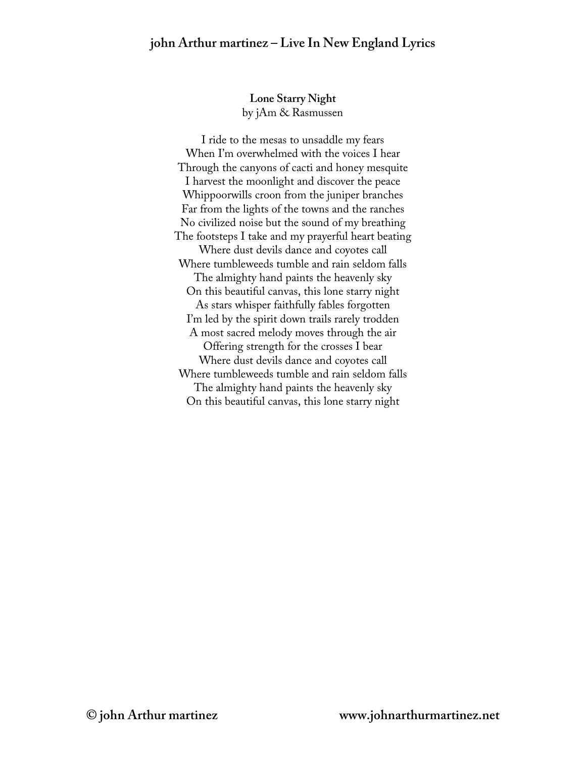**Lone Starry Night** by jAm & Rasmussen

I ride to the mesas to unsaddle my fears When I'm overwhelmed with the voices I hear Through the canyons of cacti and honey mesquite I harvest the moonlight and discover the peace Whippoorwills croon from the juniper branches Far from the lights of the towns and the ranches No civilized noise but the sound of my breathing The footsteps I take and my prayerful heart beating Where dust devils dance and coyotes call Where tumbleweeds tumble and rain seldom falls The almighty hand paints the heavenly sky On this beautiful canvas, this lone starry night As stars whisper faithfully fables forgotten I'm led by the spirit down trails rarely trodden A most sacred melody moves through the air Offering strength for the crosses I bear Where dust devils dance and coyotes call Where tumbleweeds tumble and rain seldom falls The almighty hand paints the heavenly sky On this beautiful canvas, this lone starry night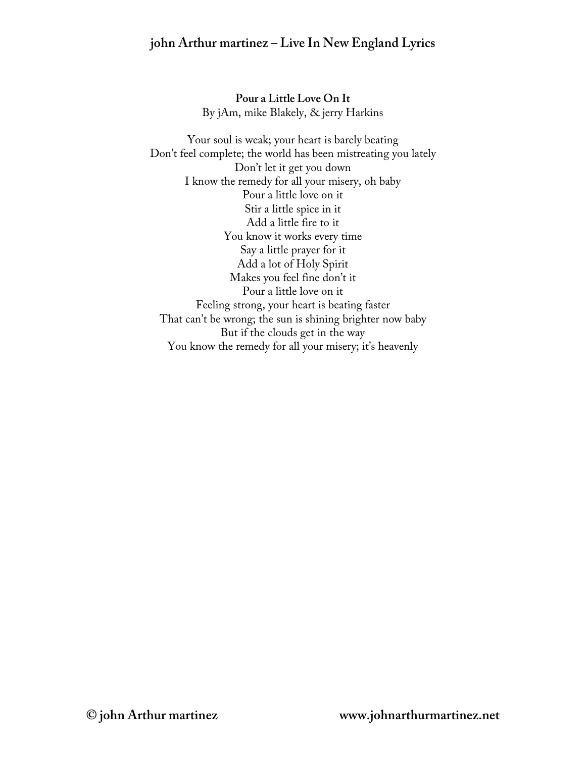**Pour a Little Love On It** By jAm, mike Blakely, & jerry Harkins

Your soul is weak; your heart is barely beating Don't feel complete; the world has been mistreating you lately Don't let it get you down I know the remedy for all your misery, oh baby Pour a little love on it Stir a little spice in it Add a little fire to it You know it works every time Say a little prayer for it Add a lot of Holy Spirit Makes you feel fine don't it Pour a little love on it Feeling strong, your heart is beating faster That can't be wrong; the sun is shining brighter now baby But if the clouds get in the way You know the remedy for all your misery; it's heavenly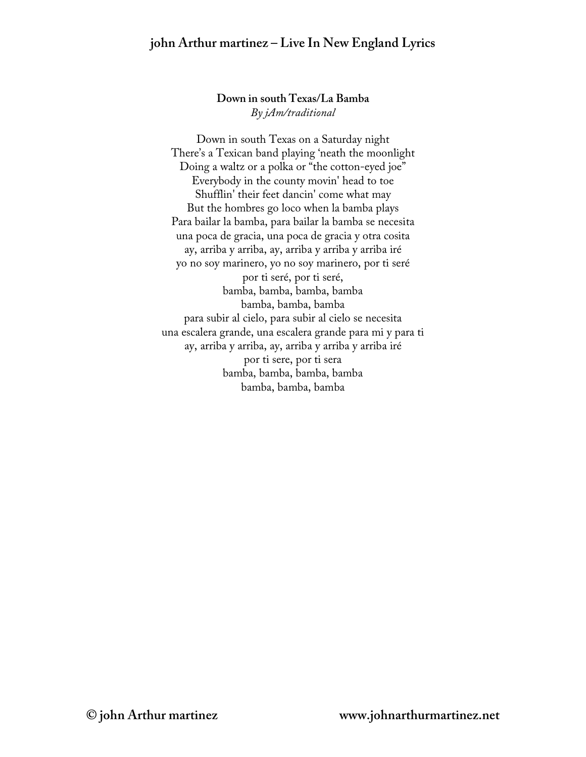### **Down in south Texas/La Bamba** *By jAm/traditional*

Down in south Texas on a Saturday night There's a Texican band playing 'neath the moonlight Doing a waltz or a polka or "the cotton-eyed joe" Everybody in the county movin' head to toe Shufflin' their feet dancin' come what may But the hombres go loco when la bamba plays Para bailar la bamba, para bailar la bamba se necesita una poca de gracia, una poca de gracia y otra cosita ay, arriba y arriba, ay, arriba y arriba y arriba iré yo no soy marinero, yo no soy marinero, por ti seré por ti seré, por ti seré, bamba, bamba, bamba, bamba bamba, bamba, bamba para subir al cielo, para subir al cielo se necesita una escalera grande, una escalera grande para mi y para ti ay, arriba y arriba, ay, arriba y arriba y arriba iré por ti sere, por ti sera bamba, bamba, bamba, bamba bamba, bamba, bamba